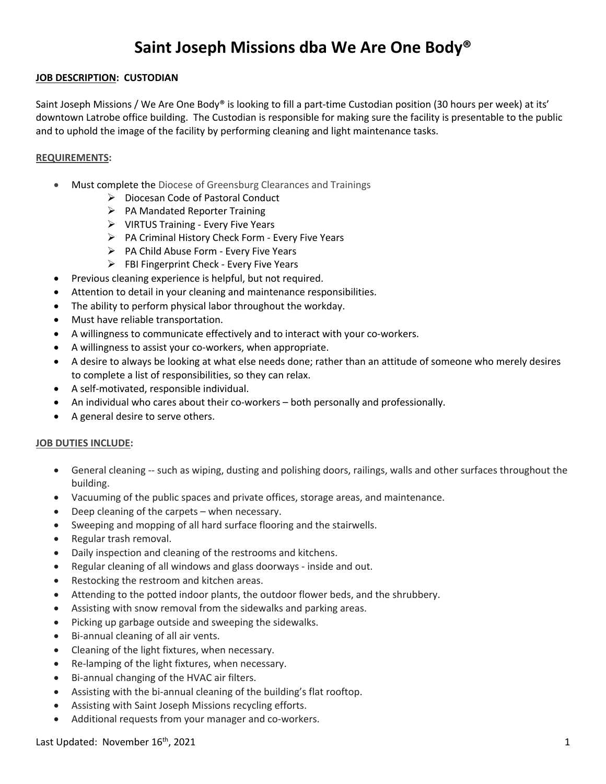# **Saint Joseph Missions dba We Are One Body®**

## **JOB DESCRIPTION: CUSTODIAN**

Saint Joseph Missions / We Are One Body® is looking to fill a part-time Custodian position (30 hours per week) at its' downtown Latrobe office building. The Custodian is responsible for making sure the facility is presentable to the public and to uphold the image of the facility by performing cleaning and light maintenance tasks.

### **REQUIREMENTS:**

- Must complete the Diocese of Greensburg Clearances and Trainings
	- $\triangleright$  Diocesan Code of Pastoral Conduct
	- $\triangleright$  PA Mandated Reporter Training
	- $\triangleright$  VIRTUS Training Every Five Years
	- $\triangleright$  PA Criminal History Check Form Every Five Years
	- $\triangleright$  PA Child Abuse Form Every Five Years
	- $\triangleright$  FBI Fingerprint Check Every Five Years
- Previous cleaning experience is helpful, but not required.
- Attention to detail in your cleaning and maintenance responsibilities.
- The ability to perform physical labor throughout the workday.
- Must have reliable transportation.
- A willingness to communicate effectively and to interact with your co-workers.
- A willingness to assist your co-workers, when appropriate.
- A desire to always be looking at what else needs done; rather than an attitude of someone who merely desires to complete a list of responsibilities, so they can relax.
- A self-motivated, responsible individual.
- An individual who cares about their co-workers both personally and professionally.
- A general desire to serve others.

#### **JOB DUTIES INCLUDE:**

- General cleaning -- such as wiping, dusting and polishing doors, railings, walls and other surfaces throughout the building.
- Vacuuming of the public spaces and private offices, storage areas, and maintenance.
- Deep cleaning of the carpets when necessary.
- Sweeping and mopping of all hard surface flooring and the stairwells.
- Regular trash removal.
- Daily inspection and cleaning of the restrooms and kitchens.
- Regular cleaning of all windows and glass doorways inside and out.
- Restocking the restroom and kitchen areas.
- Attending to the potted indoor plants, the outdoor flower beds, and the shrubbery.
- Assisting with snow removal from the sidewalks and parking areas.
- Picking up garbage outside and sweeping the sidewalks.
- Bi-annual cleaning of all air vents.
- Cleaning of the light fixtures, when necessary.
- Re-lamping of the light fixtures, when necessary.
- Bi-annual changing of the HVAC air filters.
- Assisting with the bi-annual cleaning of the building's flat rooftop.
- Assisting with Saint Joseph Missions recycling efforts.
- Additional requests from your manager and co-workers.

#### Last Updated: November 16<sup>th</sup>, 2021  $\qquad \qquad$  1